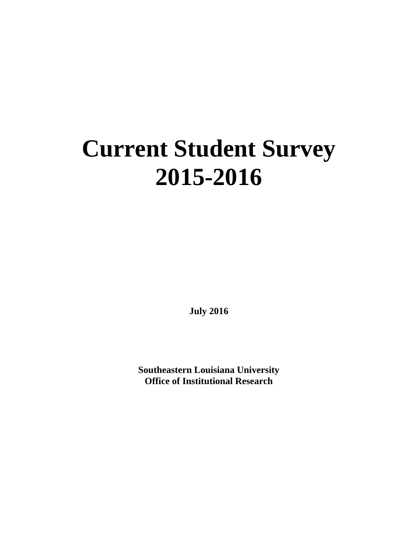## **Current Student Survey 2015-2016**

**July 2016**

**Southeastern Louisiana University Office of Institutional Research**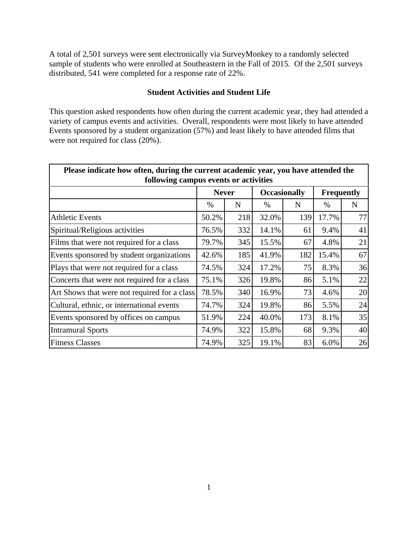A total of 2,501 surveys were sent electronically via SurveyMonkey to a randomly selected sample of students who were enrolled at Southeastern in the Fall of 2015. Of the 2,501 surveys distributed, 541 were completed for a response rate of 22%.

## **Student Activities and Student Life**

This question asked respondents how often during the current academic year, they had attended a variety of campus events and activities. Overall, respondents were most likely to have attended Events sponsored by a student organization (57%) and least likely to have attended films that were not required for class  $(20\%)$ .

| Please indicate how often, during the current academic year, you have attended the<br>following campus events or activities |              |     |                     |     |                   |             |  |  |  |  |
|-----------------------------------------------------------------------------------------------------------------------------|--------------|-----|---------------------|-----|-------------------|-------------|--|--|--|--|
|                                                                                                                             | <b>Never</b> |     | <b>Occasionally</b> |     | <b>Frequently</b> |             |  |  |  |  |
|                                                                                                                             | %            | N   | $\%$                | N   | $\%$              | $\mathbf N$ |  |  |  |  |
| <b>Athletic Events</b>                                                                                                      | 50.2%        | 218 | 32.0%               | 139 | 17.7%             | 77          |  |  |  |  |
| Spiritual/Religious activities                                                                                              | 76.5%        | 332 | 14.1%               | 61  | 9.4%              | 41          |  |  |  |  |
| Films that were not required for a class                                                                                    | 79.7%        | 345 | 15.5%               | 67  | 4.8%              | 21          |  |  |  |  |
| Events sponsored by student organizations                                                                                   | 42.6%        | 185 | 41.9%               | 182 | 15.4%             | 67          |  |  |  |  |
| Plays that were not required for a class                                                                                    | 74.5%        | 324 | 17.2%               | 75  | 8.3%              | 36          |  |  |  |  |
| Concerts that were not required for a class                                                                                 | 75.1%        | 326 | 19.8%               | 86  | 5.1%              | 22          |  |  |  |  |
| Art Shows that were not required for a class                                                                                | 78.5%        | 340 | 16.9%               | 73  | 4.6%              | 20          |  |  |  |  |
| Cultural, ethnic, or international events                                                                                   | 74.7%        | 324 | 19.8%               | 86  | 5.5%              | 24          |  |  |  |  |
| Events sponsored by offices on campus                                                                                       | 51.9%        | 224 | 40.0%               | 173 | 8.1%              | 35          |  |  |  |  |
| <b>Intramural Sports</b>                                                                                                    | 74.9%        | 322 | 15.8%               | 68  | 9.3%              | 40          |  |  |  |  |
| <b>Fitness Classes</b>                                                                                                      | 74.9%        | 325 | 19.1%               | 83  | 6.0%              | 26          |  |  |  |  |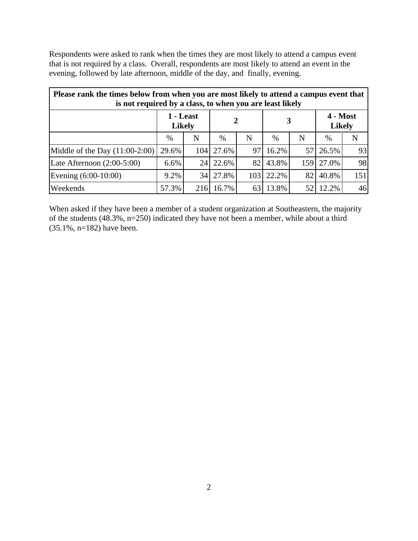Respondents were asked to rank when the times they are most likely to attend a campus event that is not required by a class. Overall, respondents are most likely to attend an event in the evening, followed by late afternoon, middle of the day, and finally, evening.

| Please rank the times below from when you are most likely to attend a campus event that<br>is not required by a class, to when you are least likely |                            |                  |       |     |       |     |                             |     |  |  |
|-----------------------------------------------------------------------------------------------------------------------------------------------------|----------------------------|------------------|-------|-----|-------|-----|-----------------------------|-----|--|--|
|                                                                                                                                                     | 1 - Least<br><b>Likely</b> |                  |       |     |       |     | $4 - Most$<br><b>Likely</b> |     |  |  |
|                                                                                                                                                     | $\%$                       | N                | $\%$  | N   | %     | N   | %                           | N   |  |  |
| Middle of the Day $(11:00-2:00)$                                                                                                                    | 29.6%                      | 104 <sup> </sup> | 27.6% | 97  | 16.2% | 57  | 26.5%                       | 93  |  |  |
| Late Afternoon $(2:00-5:00)$                                                                                                                        | 6.6%                       | 24               | 22.6% | 82  | 43.8% | 159 | 27.0%                       | 98  |  |  |
| Evening (6:00-10:00)                                                                                                                                | 9.2%                       | 34               | 27.8% | 103 | 22.2% | 82  | 40.8%                       | 151 |  |  |
| Weekends                                                                                                                                            | 57.3%                      | 216              | 16.7% | 63  | 13.8% |     | 12.2%                       | 46  |  |  |

When asked if they have been a member of a student organization at Southeastern, the majority of the students (48.3%, n=250) indicated they have not been a member, while about a third (35.1%, n=182) have been.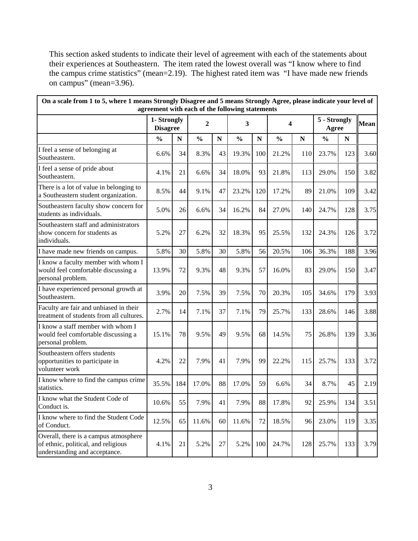This section asked students to indicate their level of agreement with each of the statements about their experiences at Southeastern. The item rated the lowest overall was "I know where to find the campus crime statistics" (mean=2.19). The highest rated item was "I have made new friends on campus" (mean=3.96).

| On a scale from 1 to 5, where 1 means Strongly Disagree and 5 means Strongly Agree, please indicate your level of<br>agreement with each of the following statements |                                |           |               |           |               |           |               |             |                       |           |             |
|----------------------------------------------------------------------------------------------------------------------------------------------------------------------|--------------------------------|-----------|---------------|-----------|---------------|-----------|---------------|-------------|-----------------------|-----------|-------------|
|                                                                                                                                                                      | 1- Strongly<br><b>Disagree</b> |           | 2             |           | 3             |           | 4             |             | 5 - Strongly<br>Agree |           | <b>Mean</b> |
|                                                                                                                                                                      | $\frac{0}{0}$                  | ${\bf N}$ | $\frac{0}{0}$ | ${\bf N}$ | $\frac{0}{0}$ | ${\bf N}$ | $\frac{0}{0}$ | $\mathbf N$ | $\frac{0}{0}$         | ${\bf N}$ |             |
| I feel a sense of belonging at<br>Southeastern.                                                                                                                      | 6.6%                           | 34        | 8.3%          | 43        | 19.3%         | 100       | 21.2%         | 110         | 23.7%                 | 123       | 3.60        |
| I feel a sense of pride about<br>Southeastern.                                                                                                                       | 4.1%                           | 21        | 6.6%          | 34        | 18.0%         | 93        | 21.8%         | 113         | 29.0%                 | 150       | 3.82        |
| There is a lot of value in belonging to<br>a Southeastern student organization.                                                                                      | 8.5%                           | 44        | 9.1%          | 47        | 23.2%         | 120       | 17.2%         | 89          | 21.0%                 | 109       | 3.42        |
| Southeastern faculty show concern for<br>students as individuals.                                                                                                    | 5.0%                           | 26        | 6.6%          | 34        | 16.2%         | 84        | 27.0%         | 140         | 24.7%                 | 128       | 3.75        |
| Southeastern staff and administrators<br>show concern for students as<br>individuals.                                                                                | 5.2%                           | 27        | 6.2%          | 32        | 18.3%         | 95        | 25.5%         | 132         | 24.3%                 | 126       | 3.72        |
| I have made new friends on campus.                                                                                                                                   | 5.8%                           | 30        | 5.8%          | 30        | 5.8%          | 56        | 20.5%         | 106         | 36.3%                 | 188       | 3.96        |
| I know a faculty member with whom I<br>would feel comfortable discussing a<br>personal problem.                                                                      | 13.9%                          | 72        | 9.3%          | 48        | 9.3%          | 57        | 16.0%         | 83          | 29.0%                 | 150       | 3.47        |
| I have experienced personal growth at<br>Southeastern.                                                                                                               | 3.9%                           | 20        | 7.5%          | 39        | 7.5%          | 70        | 20.3%         | 105         | 34.6%                 | 179       | 3.93        |
| Faculty are fair and unbiased in their<br>treatment of students from all cultures.                                                                                   | 2.7%                           | 14        | 7.1%          | 37        | 7.1%          | 79        | 25.7%         | 133         | 28.6%                 | 146       | 3.88        |
| I know a staff member with whom I<br>would feel comfortable discussing a<br>personal problem.                                                                        | 15.1%                          | 78        | 9.5%          | 49        | 9.5%          | 68        | 14.5%         | 75          | 26.8%                 | 139       | 3.36        |
| Southeastern offers students<br>opportunities to participate in<br>volunteer work                                                                                    | 4.2%                           | 22        | 7.9%          | 41        | 7.9%          | 99        | 22.2%         | 115         | 25.7%                 | 133       | 3.72        |
| I know where to find the campus crime<br>statistics.                                                                                                                 | 35.5%                          | 184       | 17.0%         | 88        | 17.0%         | 59        | 6.6%          | 34          | 8.7%                  | 45        | 2.19        |
| I know what the Student Code of<br>Conduct is.                                                                                                                       | 10.6%                          | 55        | 7.9%          | 41        | 7.9%          | 88        | 17.8%         | 92          | 25.9%                 | 134       | 3.51        |
| I know where to find the Student Code<br>of Conduct.                                                                                                                 | 12.5%                          | 65        | 11.6%         | 60        | 11.6%         | 72        | 18.5%         | 96          | 23.0%                 | 119       | 3.35        |
| Overall, there is a campus atmosphere<br>of ethnic, political, and religious<br>understanding and acceptance.                                                        | 4.1%                           | 21        | 5.2%          | 27        | 5.2%          | 100       | 24.7%         | 128         | 25.7%                 | 133       | 3.79        |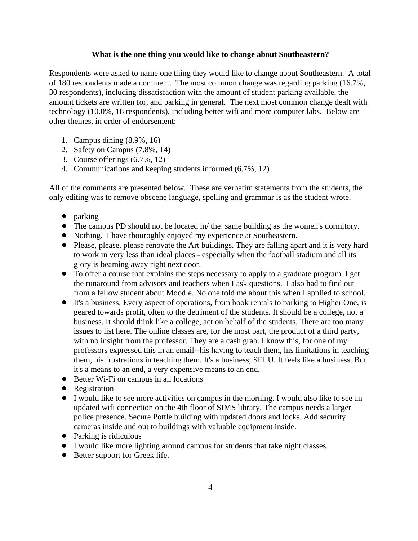## **What is the one thing you would like to change about Southeastern?**

Respondents were asked to name one thing they would like to change about Southeastern. A total of 180 respondents made a comment. The most common change was regarding parking (16.7%, 30 respondents), including dissatisfaction with the amount of student parking available, the amount tickets are written for, and parking in general. The next most common change dealt with technology (10.0%, 18 respondents), including better wifi and more computer labs. Below are other themes, in order of endorsement:

- 1. Campus dining (8.9%, 16)
- 2. Safety on Campus (7.8%, 14)
- 3. Course offerings (6.7%, 12)
- 4. Communications and keeping students informed (6.7%, 12)

All of the comments are presented below. These are verbatim statements from the students, the only editing was to remove obscene language, spelling and grammar is as the student wrote.

- $\bullet$  parking
- ! The campus PD should not be located in/ the same building as the women's dormitory.
- ! Nothing. I have thouroghly enjoyed my experience at Southeastern.
- Please, please, please renovate the Art buildings. They are falling apart and it is very hard to work in very less than ideal places - especially when the football stadium and all its glory is beaming away right next door.
- To offer a course that explains the steps necessary to apply to a graduate program. I get the runaround from advisors and teachers when I ask questions. I also had to find out from a fellow student about Moodle. No one told me about this when I applied to school.
- ! It's a business. Every aspect of operations, from book rentals to parking to Higher One, is geared towards profit, often to the detriment of the students. It should be a college, not a business. It should think like a college, act on behalf of the students. There are too many issues to list here. The online classes are, for the most part, the product of a third party, with no insight from the professor. They are a cash grab. I know this, for one of my professors expressed this in an email--his having to teach them, his limitations in teaching them, his frustrations in teaching them. It's a business, SELU. It feels like a business. But it's a means to an end, a very expensive means to an end.
- Better Wi-Fi on campus in all locations
- Registration
- ! I would like to see more activities on campus in the morning. I would also like to see an updated wifi connection on the 4th floor of SIMS library. The campus needs a larger police presence. Secure Pottle building with updated doors and locks. Add security cameras inside and out to buildings with valuable equipment inside.
- Parking is ridiculous
- ! I would like more lighting around campus for students that take night classes.
- Better support for Greek life.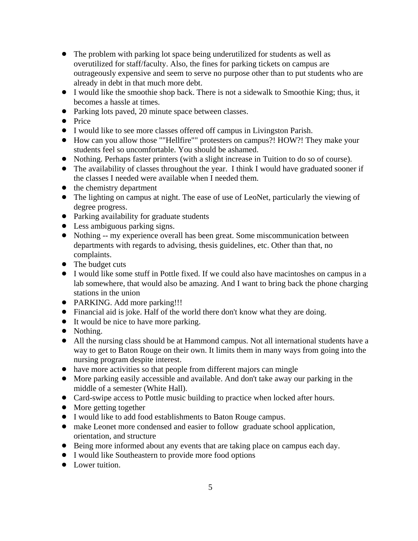- The problem with parking lot space being underutilized for students as well as overutilized for staff/faculty. Also, the fines for parking tickets on campus are outrageously expensive and seem to serve no purpose other than to put students who are already in debt in that much more debt.
- ! I would like the smoothie shop back. There is not a sidewalk to Smoothie King; thus, it becomes a hassle at times.
- Parking lots paved, 20 minute space between classes.
- Price
- ! I would like to see more classes offered off campus in Livingston Parish.
- ! How can you allow those ""Hellfire"" protesters on campus?! HOW?! They make your students feel so uncomfortable. You should be ashamed.
- ! Nothing. Perhaps faster printers (with a slight increase in Tuition to do so of course).
- The availability of classes throughout the year. I think I would have graduated sooner if the classes I needed were available when I needed them.
- the chemistry department
- The lighting on campus at night. The ease of use of LeoNet, particularly the viewing of degree progress.
- ! Parking availability for graduate students
- Less ambiguous parking signs.
- ! Nothing -- my experience overall has been great. Some miscommunication between departments with regards to advising, thesis guidelines, etc. Other than that, no complaints.
- The budget cuts
- ! I would like some stuff in Pottle fixed. If we could also have macintoshes on campus in a lab somewhere, that would also be amazing. And I want to bring back the phone charging stations in the union
- PARKING. Add more parking!!!
- ! Financial aid is joke. Half of the world there don't know what they are doing.
- It would be nice to have more parking.
- Nothing.
- All the nursing class should be at Hammond campus. Not all international students have a way to get to Baton Rouge on their own. It limits them in many ways from going into the nursing program despite interest.
- have more activities so that people from different majors can mingle
- ! More parking easily accessible and available. And don't take away our parking in the middle of a semester (White Hall).
- Card-swipe access to Pottle music building to practice when locked after hours.
- More getting together
- ! I would like to add food establishments to Baton Rouge campus.
- make Leonet more condensed and easier to follow graduate school application, orientation, and structure
- ! Being more informed about any events that are taking place on campus each day.
- ! I would like Southeastern to provide more food options
- Lower tuition.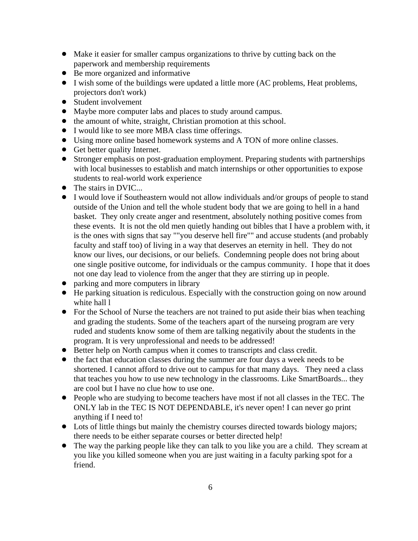- ! Make it easier for smaller campus organizations to thrive by cutting back on the paperwork and membership requirements
- Be more organized and informative
- ! I wish some of the buildings were updated a little more (AC problems, Heat problems, projectors don't work)
- Student involvement
- ! Maybe more computer labs and places to study around campus.
- the amount of white, straight, Christian promotion at this school.
- ! I would like to see more MBA class time offerings.
- Using more online based homework systems and A TON of more online classes.
- Get better quality Internet.
- ! Stronger emphasis on post-graduation employment. Preparing students with partnerships with local businesses to establish and match internships or other opportunities to expose students to real-world work experience
- The stairs in DVIC...
- ! I would love if Southeastern would not allow individuals and/or groups of people to stand outside of the Union and tell the whole student body that we are going to hell in a hand basket. They only create anger and resentment, absolutely nothing positive comes from these events. It is not the old men quietly handing out bibles that I have a problem with, it is the ones with signs that say ""you deserve hell fire"" and accuse students (and probably faculty and staff too) of living in a way that deserves an eternity in hell. They do not know our lives, our decisions, or our beliefs. Condemning people does not bring about one single positive outcome, for individuals or the campus community. I hope that it does not one day lead to violence from the anger that they are stirring up in people.
- parking and more computers in library
- ! He parking situation is rediculous. Especially with the construction going on now around white hall l
- For the School of Nurse the teachers are not trained to put aside their bias when teaching and grading the students. Some of the teachers apart of the nurseing program are very ruded and students know some of them are talking negativily about the students in the program. It is very unprofessional and needs to be addressed!
- ! Better help on North campus when it comes to transcripts and class credit.
- the fact that education classes during the summer are four days a week needs to be shortened. I cannot afford to drive out to campus for that many days. They need a class that teaches you how to use new technology in the classrooms. Like SmartBoards... they are cool but I have no clue how to use one.
- ! People who are studying to become teachers have most if not all classes in the TEC. The ONLY lab in the TEC IS NOT DEPENDABLE, it's never open! I can never go print anything if I need to!
- Lots of little things but mainly the chemistry courses directed towards biology majors; there needs to be either separate courses or better directed help!
- The way the parking people like they can talk to you like you are a child. They scream at you like you killed someone when you are just waiting in a faculty parking spot for a friend.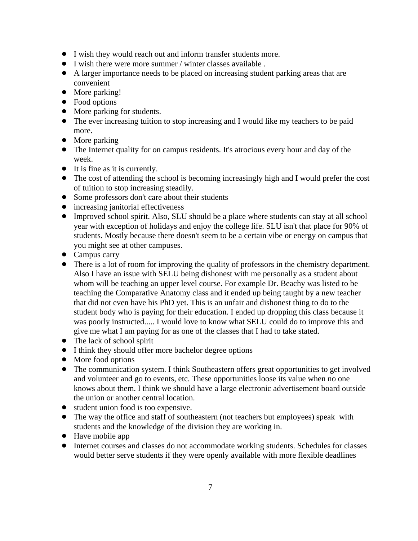- ! I wish they would reach out and inform transfer students more.
- ! I wish there were more summer / winter classes available .
- ! A larger importance needs to be placed on increasing student parking areas that are convenient
- More parking!
- Food options
- More parking for students.
- The ever increasing tuition to stop increasing and I would like my teachers to be paid more.
- More parking
- The Internet quality for on campus residents. It's atrocious every hour and day of the week.
- It is fine as it is currently.
- The cost of attending the school is becoming increasingly high and I would prefer the cost of tuition to stop increasing steadily.
- Some professors don't care about their students
- increasing janitorial effectiveness
- Improved school spirit. Also, SLU should be a place where students can stay at all school year with exception of holidays and enjoy the college life. SLU isn't that place for 90% of students. Mostly because there doesn't seem to be a certain vibe or energy on campus that you might see at other campuses.
- Campus carry
- There is a lot of room for improving the quality of professors in the chemistry department. Also I have an issue with SELU being dishonest with me personally as a student about whom will be teaching an upper level course. For example Dr. Beachy was listed to be teaching the Comparative Anatomy class and it ended up being taught by a new teacher that did not even have his PhD yet. This is an unfair and dishonest thing to do to the student body who is paying for their education. I ended up dropping this class because it was poorly instructed..... I would love to know what SELU could do to improve this and give me what I am paying for as one of the classes that I had to take stated.
- The lack of school spirit
- ! I think they should offer more bachelor degree options
- More food options
- The communication system. I think Southeastern offers great opportunities to get involved and volunteer and go to events, etc. These opportunities loose its value when no one knows about them. I think we should have a large electronic advertisement board outside the union or another central location.
- student union food is too expensive.
- The way the office and staff of southeastern (not teachers but employees) speak with students and the knowledge of the division they are working in.
- Have mobile app
- ! Internet courses and classes do not accommodate working students. Schedules for classes would better serve students if they were openly available with more flexible deadlines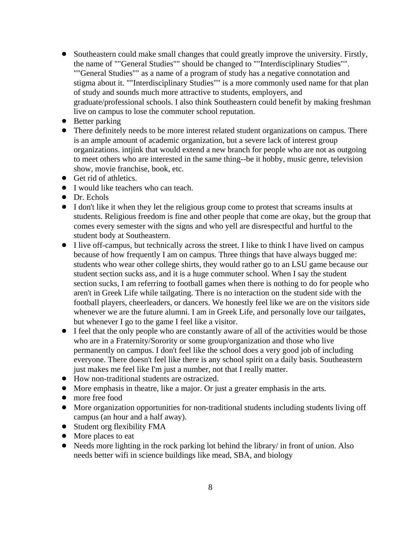- ! Southeastern could make small changes that could greatly improve the university. Firstly, the name of ""General Studies"" should be changed to ""Interdisciplinary Studies"". ""General Studies"" as a name of a program of study has a negative connotation and stigma about it. ""Interdisciplinary Studies"" is a more commonly used name for that plan of study and sounds much more attractive to students, employers, and graduate/professional schools. I also think Southeastern could benefit by making freshman live on campus to lose the commuter school reputation.
- Better parking
- There definitely needs to be more interest related student organizations on campus. There is an ample amount of academic organization, but a severe lack of interest group organizations. intjink that would extend a new branch for people who are not as outgoing to meet others who are interested in the same thing--be it hobby, music genre, television show, movie franchise, book, etc.
- **•** Get rid of athletics.
- I would like teachers who can teach.
- Dr. Echols
- ! I don't like it when they let the religious group come to protest that screams insults at students. Religious freedom is fine and other people that come are okay, but the group that comes every semester with the signs and who yell are disrespectful and hurtful to the student body at Southeastern.
- ! I live off-campus, but technically across the street. I like to think I have lived on campus because of how frequently I am on campus. Three things that have always bugged me: students who wear other college shirts, they would rather go to an LSU game because our student section sucks ass, and it is a huge commuter school. When I say the student section sucks, I am referring to football games when there is nothing to do for people who aren't in Greek Life while tailgating. There is no interaction on the student side with the football players, cheerleaders, or dancers. We honestly feel like we are on the visitors side whenever we are the future alumni. I am in Greek Life, and personally love our tailgates, but whenever I go to the game I feel like a visitor.
- I feel that the only people who are constantly aware of all of the activities would be those who are in a Fraternity/Sorority or some group/organization and those who live permanently on campus. I don't feel like the school does a very good job of including everyone. There doesn't feel like there is any school spirit on a daily basis. Southeastern just makes me feel like I'm just a number, not that I really matter.
- ! How non-traditional students are ostracized.
- ! More emphasis in theatre, like a major. Or just a greater emphasis in the arts.
- more free food
- ! More organization opportunities for non-traditional students including students living off campus (an hour and a half away).
- Student org flexibility FMA
- More places to eat
- Needs more lighting in the rock parking lot behind the library/ in front of union. Also needs better wifi in science buildings like mead, SBA, and biology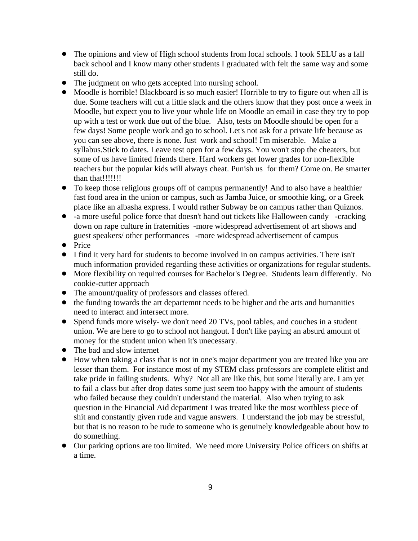- The opinions and view of High school students from local schools. I took SELU as a fall back school and I know many other students I graduated with felt the same way and some still do.
- The judgment on who gets accepted into nursing school.
- ! Moodle is horrible! Blackboard is so much easier! Horrible to try to figure out when all is due. Some teachers will cut a little slack and the others know that they post once a week in Moodle, but expect you to live your whole life on Moodle an email in case they try to pop up with a test or work due out of the blue. Also, tests on Moodle should be open for a few days! Some people work and go to school. Let's not ask for a private life because as you can see above, there is none. Just work and school! I'm miserable. Make a syllabus.Stick to dates. Leave test open for a few days. You won't stop the cheaters, but some of us have limited friends there. Hard workers get lower grades for non-flexible teachers but the popular kids will always cheat. Punish us for them? Come on. Be smarter than that!!!!!!!!
- To keep those religious groups off of campus permanently! And to also have a healthier fast food area in the union or campus, such as Jamba Juice, or smoothie king, or a Greek place like an albasha express. I would rather Subway be on campus rather than Quiznos.
- -a more useful police force that doesn't hand out tickets like Halloween candy -cracking down on rape culture in fraternities -more widespread advertisement of art shows and guest speakers/ other performances -more widespread advertisement of campus
- Price
- ! I find it very hard for students to become involved in on campus activities. There isn't much information provided regarding these activities or organizations for regular students.
- ! More flexibility on required courses for Bachelor's Degree. Students learn differently. No cookie-cutter approach
- The amount/quality of professors and classes offered.
- the funding towards the art departemnt needs to be higher and the arts and humanities need to interact and intersect more.
- ! Spend funds more wisely- we don't need 20 TVs, pool tables, and couches in a student union. We are here to go to school not hangout. I don't like paying an absurd amount of money for the student union when it's unecessary.
- The bad and slow internet
- ! How when taking a class that is not in one's major department you are treated like you are lesser than them. For instance most of my STEM class professors are complete elitist and take pride in failing students. Why? Not all are like this, but some literally are. I am yet to fail a class but after drop dates some just seem too happy with the amount of students who failed because they couldn't understand the material. Also when trying to ask question in the Financial Aid department I was treated like the most worthless piece of shit and constantly given rude and vague answers. I understand the job may be stressful, but that is no reason to be rude to someone who is genuinely knowledgeable about how to do something.
- Our parking options are too limited. We need more University Police officers on shifts at a time.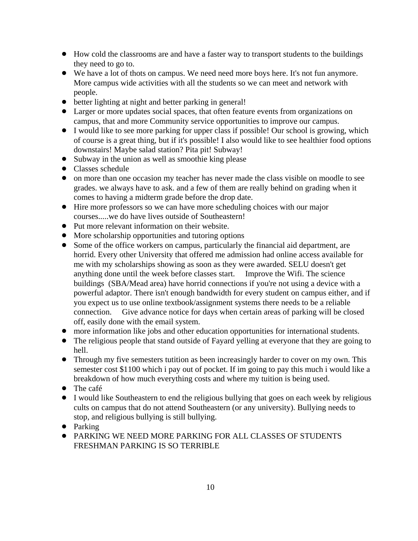- ! How cold the classrooms are and have a faster way to transport students to the buildings they need to go to.
- We have a lot of thots on campus. We need need more boys here. It's not fun anymore. More campus wide activities with all the students so we can meet and network with people.
- ! better lighting at night and better parking in general!
- Larger or more updates social spaces, that often feature events from organizations on campus, that and more Community service opportunities to improve our campus.
- ! I would like to see more parking for upper class if possible! Our school is growing, which of course is a great thing, but if it's possible! I also would like to see healthier food options downstairs! Maybe salad station? Pita pit! Subway!
- Subway in the union as well as smoothie king please
- Classes schedule
- on more than one occasion my teacher has never made the class visible on moodle to see grades. we always have to ask. and a few of them are really behind on grading when it comes to having a midterm grade before the drop date.
- ! Hire more professors so we can have more scheduling choices with our major courses.....we do have lives outside of Southeastern!
- Put more relevant information on their website.
- More scholarship opportunities and tutoring options
- Some of the office workers on campus, particularly the financial aid department, are horrid. Every other University that offered me admission had online access available for me with my scholarships showing as soon as they were awarded. SELU doesn't get anything done until the week before classes start. Improve the Wifi. The science buildings (SBA/Mead area) have horrid connections if you're not using a device with a powerful adaptor. There isn't enough bandwidth for every student on campus either, and if you expect us to use online textbook/assignment systems there needs to be a reliable connection. Give advance notice for days when certain areas of parking will be closed off, easily done with the email system.
- ! more information like jobs and other education opportunities for international students.
- The religious people that stand outside of Fayard yelling at everyone that they are going to hell.
- Through my five semesters tutition as been increasingly harder to cover on my own. This semester cost \$1100 which i pay out of pocket. If im going to pay this much i would like a breakdown of how much everything costs and where my tuition is being used.
- $\bullet$  The café
- I would like Southeastern to end the religious bullying that goes on each week by religious cults on campus that do not attend Southeastern (or any university). Bullying needs to stop, and religious bullying is still bullying.
- Parking
- ! PARKING WE NEED MORE PARKING FOR ALL CLASSES OF STUDENTS FRESHMAN PARKING IS SO TERRIBLE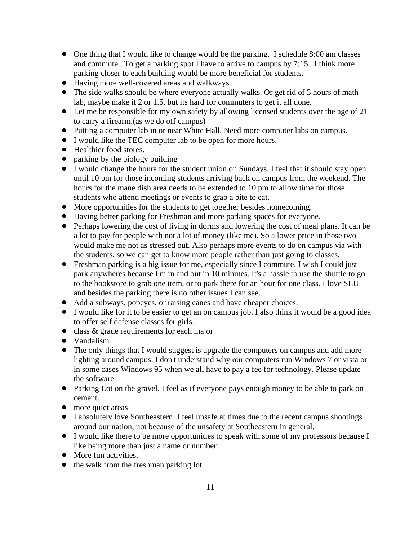- One thing that I would like to change would be the parking. I schedule 8:00 am classes and commute. To get a parking spot I have to arrive to campus by 7:15. I think more parking closer to each building would be more beneficial for students.
- ! Having more well-covered areas and walkways.
- The side walks should be where everyone actually walks. Or get rid of 3 hours of math lab, maybe make it 2 or 1.5, but its hard for commuters to get it all done.
- Let me be responsible for my own safety by allowing licensed students over the age of 21 to carry a firearm.(as we do off campus)
- ! Putting a computer lab in or near White Hall. Need more computer labs on campus.
- ! I would like the TEC computer lab to be open for more hours.
- Healthier food stores.
- parking by the biology building
- ! I would change the hours for the student union on Sundays. I feel that it should stay open until 10 pm for those incoming students arriving back on campus from the weekend. The hours for the mane dish area needs to be extended to 10 pm to allow time for those students who attend meetings or events to grab a bite to eat.
- More opportunities for the students to get together besides homecoming.
- ! Having better parking for Freshman and more parking spaces for everyone.
- ! Perhaps lowering the cost of living in dorms and lowering the cost of meal plans. It can be a lot to pay for people with not a lot of money (like me). So a lower price in those two would make me not as stressed out. Also perhaps more events to do on campus via with the students, so we can get to know more people rather than just going to classes.
- ! Freshman parking is a big issue for me, especially since I commute. I wish I could just park anywheres because I'm in and out in 10 minutes. It's a hassle to use the shuttle to go to the bookstore to grab one item, or to park there for an hour for one class. I love SLU and besides the parking there is no other issues I can see.
- ! Add a subways, popeyes, or raising canes and have cheaper choices.
- ! I would like for it to be easier to get an on campus job. I also think it would be a good idea to offer self defense classes for girls.
- class & grade requirements for each major
- Vandalism.
- The only things that I would suggest is upgrade the computers on campus and add more lighting around campus. I don't understand why our computers run Windows 7 or vista or in some cases Windows 95 when we all have to pay a fee for technology. Please update the software.
- Parking Lot on the gravel. I feel as if everyone pays enough money to be able to park on cement.
- more quiet areas
- I absolutely love Southeastern. I feel unsafe at times due to the recent campus shootings around our nation, not because of the unsafety at Southeastern in general.
- ! I would like there to be more opportunities to speak with some of my professors because I like being more than just a name or number
- More fun activities.
- the walk from the freshman parking lot